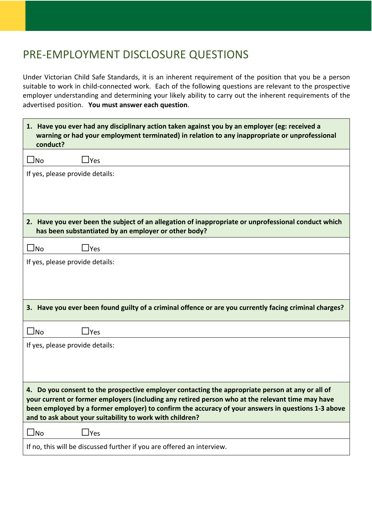## PRE-EMPLOYMENT DISCLOSURE QUESTIONS

Under Victorian Child Safe Standards, it is an inherent requirement of the position that you be a person suitable to work in child-connected work. Each of the following questions are relevant to the prospective employer understanding and determining your likely ability to carry out the inherent requirements of the advertised position. **You must answer each question**.

| 1. Have you ever had any disciplinary action taken against you by an employer (eg: received a<br>warning or had your employment terminated) in relation to any inappropriate or unprofessional<br>conduct?                                                                                                                                                             |  |  |
|------------------------------------------------------------------------------------------------------------------------------------------------------------------------------------------------------------------------------------------------------------------------------------------------------------------------------------------------------------------------|--|--|
| $\square$ No<br>$\mathsf{\Delta}$ Yes                                                                                                                                                                                                                                                                                                                                  |  |  |
| If yes, please provide details:                                                                                                                                                                                                                                                                                                                                        |  |  |
|                                                                                                                                                                                                                                                                                                                                                                        |  |  |
|                                                                                                                                                                                                                                                                                                                                                                        |  |  |
| 2. Have you ever been the subject of an allegation of inappropriate or unprofessional conduct which<br>has been substantiated by an employer or other body?                                                                                                                                                                                                            |  |  |
| $\square$ No<br>$\Box$ Yes                                                                                                                                                                                                                                                                                                                                             |  |  |
| If yes, please provide details:                                                                                                                                                                                                                                                                                                                                        |  |  |
|                                                                                                                                                                                                                                                                                                                                                                        |  |  |
|                                                                                                                                                                                                                                                                                                                                                                        |  |  |
| 3. Have you ever been found guilty of a criminal offence or are you currently facing criminal charges?                                                                                                                                                                                                                                                                 |  |  |
| $\square$ No<br>_Yes                                                                                                                                                                                                                                                                                                                                                   |  |  |
| If yes, please provide details:                                                                                                                                                                                                                                                                                                                                        |  |  |
|                                                                                                                                                                                                                                                                                                                                                                        |  |  |
|                                                                                                                                                                                                                                                                                                                                                                        |  |  |
| 4. Do you consent to the prospective employer contacting the appropriate person at any or all of<br>your current or former employers (including any retired person who at the relevant time may have<br>been employed by a former employer) to confirm the accuracy of your answers in questions 1-3 above<br>and to ask about your suitability to work with children? |  |  |
| $\Box$ Yes<br>$\bigsqcup$ No                                                                                                                                                                                                                                                                                                                                           |  |  |
| If no, this will be discussed further if you are offered an interview.                                                                                                                                                                                                                                                                                                 |  |  |